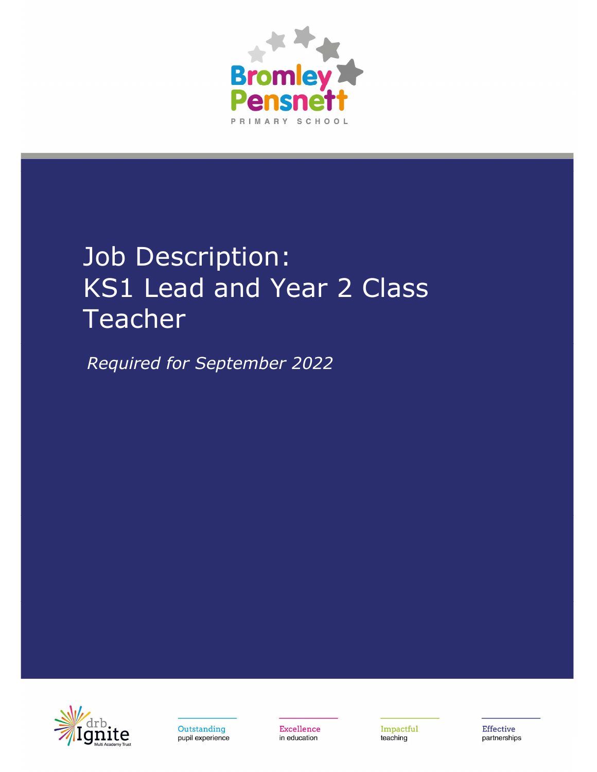

# Job Description: KS1 Lead and Year 2 Class Teacher

Required for September 2022



Outstanding pupil experience Excellence in education

Impactful teaching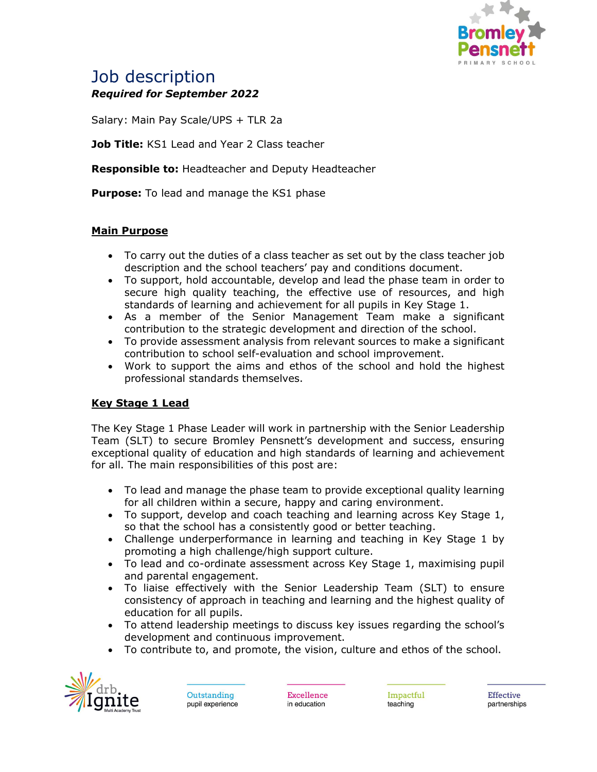

# Job description Required for September 2022

Salary: Main Pay Scale/UPS + TLR 2a

Job Title: KS1 Lead and Year 2 Class teacher

**Responsible to: Headteacher and Deputy Headteacher** 

**Purpose:** To lead and manage the KS1 phase

## Main Purpose

- To carry out the duties of a class teacher as set out by the class teacher job description and the school teachers' pay and conditions document.
- To support, hold accountable, develop and lead the phase team in order to secure high quality teaching, the effective use of resources, and high standards of learning and achievement for all pupils in Key Stage 1.
- As a member of the Senior Management Team make a significant contribution to the strategic development and direction of the school.
- To provide assessment analysis from relevant sources to make a significant contribution to school self-evaluation and school improvement.
- Work to support the aims and ethos of the school and hold the highest professional standards themselves.

#### Key Stage 1 Lead

The Key Stage 1 Phase Leader will work in partnership with the Senior Leadership Team (SLT) to secure Bromley Pensnett's development and success, ensuring exceptional quality of education and high standards of learning and achievement for all. The main responsibilities of this post are:

- To lead and manage the phase team to provide exceptional quality learning for all children within a secure, happy and caring environment.
- To support, develop and coach teaching and learning across Key Stage 1, so that the school has a consistently good or better teaching.
- Challenge underperformance in learning and teaching in Key Stage 1 by promoting a high challenge/high support culture.
- To lead and co-ordinate assessment across Key Stage 1, maximising pupil and parental engagement.
- To liaise effectively with the Senior Leadership Team (SLT) to ensure consistency of approach in teaching and learning and the highest quality of education for all pupils.
- To attend leadership meetings to discuss key issues regarding the school's development and continuous improvement.
- To contribute to, and promote, the vision, culture and ethos of the school.



Outstanding pupil experience

**Excellence** in education Impactful teaching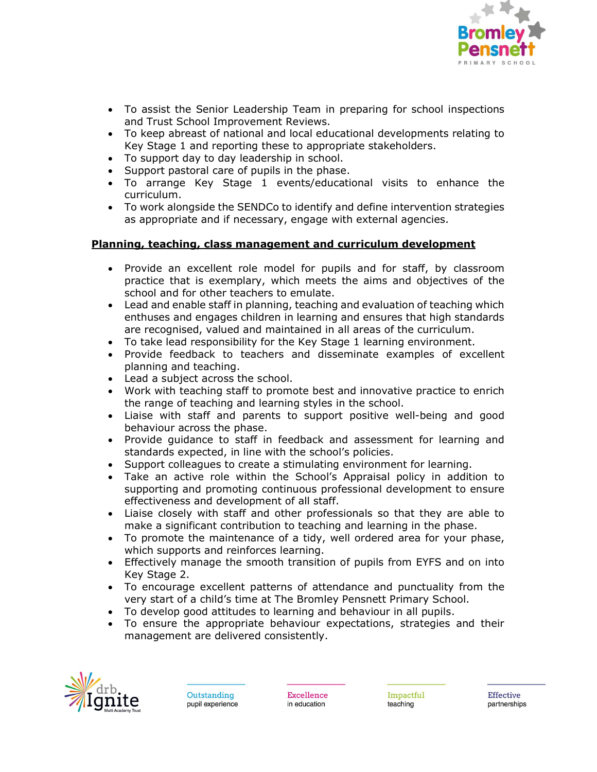

- To assist the Senior Leadership Team in preparing for school inspections and Trust School Improvement Reviews.
- To keep abreast of national and local educational developments relating to Key Stage 1 and reporting these to appropriate stakeholders.
- To support day to day leadership in school.
- Support pastoral care of pupils in the phase.
- To arrange Key Stage 1 events/educational visits to enhance the curriculum.
- To work alongside the SENDCo to identify and define intervention strategies as appropriate and if necessary, engage with external agencies.

## Planning, teaching, class management and curriculum development

- Provide an excellent role model for pupils and for staff, by classroom practice that is exemplary, which meets the aims and objectives of the school and for other teachers to emulate.
- Lead and enable staff in planning, teaching and evaluation of teaching which enthuses and engages children in learning and ensures that high standards are recognised, valued and maintained in all areas of the curriculum.
- To take lead responsibility for the Key Stage 1 learning environment.
- Provide feedback to teachers and disseminate examples of excellent planning and teaching.
- Lead a subject across the school.
- Work with teaching staff to promote best and innovative practice to enrich the range of teaching and learning styles in the school.
- Liaise with staff and parents to support positive well-being and good behaviour across the phase.
- Provide guidance to staff in feedback and assessment for learning and standards expected, in line with the school's policies.
- Support colleagues to create a stimulating environment for learning.
- Take an active role within the School's Appraisal policy in addition to supporting and promoting continuous professional development to ensure effectiveness and development of all staff.
- Liaise closely with staff and other professionals so that they are able to make a significant contribution to teaching and learning in the phase.
- To promote the maintenance of a tidy, well ordered area for your phase, which supports and reinforces learning.
- Effectively manage the smooth transition of pupils from EYFS and on into Key Stage 2.
- To encourage excellent patterns of attendance and punctuality from the very start of a child's time at The Bromley Pensnett Primary School.
- To develop good attitudes to learning and behaviour in all pupils.
- To ensure the appropriate behaviour expectations, strategies and their management are delivered consistently.



Outstanding pupil experience

**Excellence** in education Impactful teaching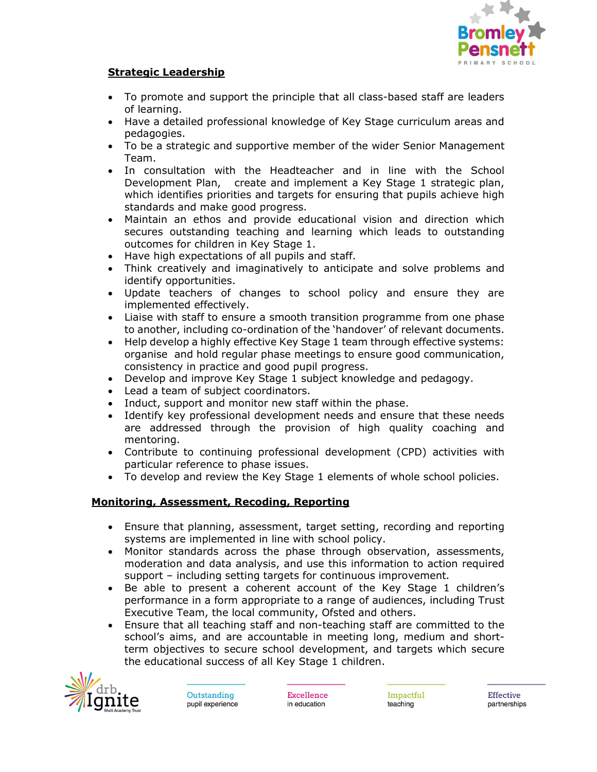

#### Strategic Leadership

- To promote and support the principle that all class-based staff are leaders of learning.
- Have a detailed professional knowledge of Key Stage curriculum areas and pedagogies.
- To be a strategic and supportive member of the wider Senior Management Team.
- In consultation with the Headteacher and in line with the School Development Plan, create and implement a Key Stage 1 strategic plan, which identifies priorities and targets for ensuring that pupils achieve high standards and make good progress.
- Maintain an ethos and provide educational vision and direction which secures outstanding teaching and learning which leads to outstanding outcomes for children in Key Stage 1.
- Have high expectations of all pupils and staff.
- Think creatively and imaginatively to anticipate and solve problems and identify opportunities.
- Update teachers of changes to school policy and ensure they are implemented effectively.
- Liaise with staff to ensure a smooth transition programme from one phase to another, including co-ordination of the 'handover' of relevant documents.
- Help develop a highly effective Key Stage 1 team through effective systems: organise and hold regular phase meetings to ensure good communication, consistency in practice and good pupil progress.
- Develop and improve Key Stage 1 subject knowledge and pedagogy.
- Lead a team of subject coordinators.
- Induct, support and monitor new staff within the phase.
- Identify key professional development needs and ensure that these needs are addressed through the provision of high quality coaching and mentoring.
- Contribute to continuing professional development (CPD) activities with particular reference to phase issues.
- To develop and review the Key Stage 1 elements of whole school policies.

#### Monitoring, Assessment, Recoding, Reporting

- Ensure that planning, assessment, target setting, recording and reporting systems are implemented in line with school policy.
- Monitor standards across the phase through observation, assessments, moderation and data analysis, and use this information to action required support – including setting targets for continuous improvement.
- Be able to present a coherent account of the Key Stage 1 children's performance in a form appropriate to a range of audiences, including Trust Executive Team, the local community, Ofsted and others.
- Ensure that all teaching staff and non-teaching staff are committed to the school's aims, and are accountable in meeting long, medium and shortterm objectives to secure school development, and targets which secure the educational success of all Key Stage 1 children.



Outstanding pupil experience

**Excellence** in education

Impactful teaching